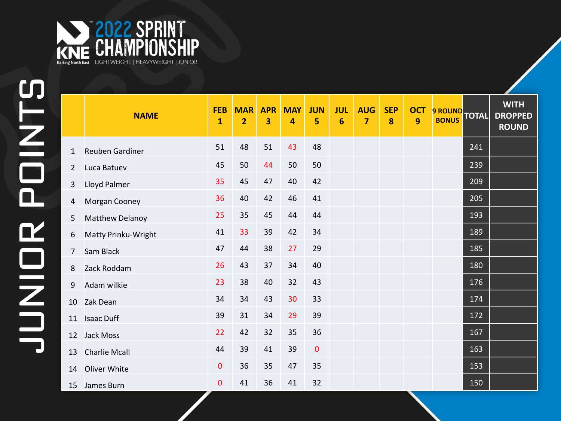

|                | <b>NAME</b>            | <b>FEB</b><br>$\mathbf{1}$ | <b>MAR</b><br>$\overline{2}$ | <b>APR</b><br>3 | <b>MAY</b><br>4 | <b>JUN</b><br>5 | <b>JUL</b><br>6 | <b>AUG</b><br>$\overline{7}$ | <b>SEP</b><br>8 | <b>OCT</b><br>$\overline{9}$ | 9 ROUND TOTAL |     | <b>WITH</b><br><b>DROPPED</b><br><b>ROUND</b> |
|----------------|------------------------|----------------------------|------------------------------|-----------------|-----------------|-----------------|-----------------|------------------------------|-----------------|------------------------------|---------------|-----|-----------------------------------------------|
| 1              | <b>Reuben Gardiner</b> | 51                         | 48                           | 51              | 43              | 48              |                 |                              |                 |                              |               | 241 |                                               |
| $\overline{2}$ | Luca Batuev            | 45                         | 50                           | 44              | 50              | 50              |                 |                              |                 |                              |               | 239 |                                               |
| 3              | Lloyd Palmer           | 35                         | 45                           | 47              | 40              | 42              |                 |                              |                 |                              |               | 209 |                                               |
| 4              | Morgan Cooney          | 36                         | 40                           | 42              | 46              | 41              |                 |                              |                 |                              |               | 205 |                                               |
| 5              | Matthew Delanoy        | 25                         | 35                           | 45              | 44              | 44              |                 |                              |                 |                              |               | 193 |                                               |
| 6              | Matty Prinku-Wright    | 41                         | 33                           | 39              | 42              | 34              |                 |                              |                 |                              |               | 189 |                                               |
| $\overline{7}$ | Sam Black              | 47                         | 44                           | 38              | 27              | 29              |                 |                              |                 |                              |               | 185 |                                               |
| 8              | Zack Roddam            | 26                         | 43                           | 37              | 34              | 40              |                 |                              |                 |                              |               | 180 |                                               |
| 9              | Adam wilkie            | 23                         | 38                           | 40              | 32              | 43              |                 |                              |                 |                              |               | 176 |                                               |
| 10             | Zak Dean               | 34                         | 34                           | 43              | 30              | 33              |                 |                              |                 |                              |               | 174 |                                               |
| 11             | <b>Isaac Duff</b>      | 39                         | 31                           | 34              | 29              | 39              |                 |                              |                 |                              |               | 172 |                                               |
| 12             | Jack Moss              | 22                         | 42                           | 32              | 35              | 36              |                 |                              |                 |                              |               | 167 |                                               |
| 13             | <b>Charlie Mcall</b>   | 44                         | 39                           | 41              | 39              | $\pmb{0}$       |                 |                              |                 |                              |               | 163 |                                               |
| 14             | Oliver White           | 0                          | 36                           | 35              | 47              | 35              |                 |                              |                 |                              |               | 153 |                                               |
|                | 15 James Burn          | 0                          | 41                           | 36              | 41              | 32              |                 |                              |                 |                              |               | 150 |                                               |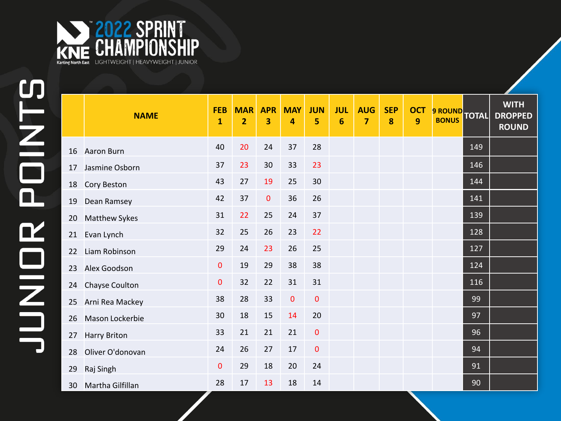

|    | <b>NAME</b>          | <b>FEB</b><br>$\mathbf{1}$ | <b>MAR</b><br>$\overline{2}$ | <b>APR</b><br>3 | <b>MAY</b><br>4 | <b>JUN</b><br>5 | <b>JUL</b><br>6 | <b>AUG</b><br>7 | <b>SEP</b><br>8 | <b>OCT</b><br>9 | 9 ROUND<br><b>BONUS</b> | <b>TOTAL</b> | <b>WITH</b><br><b>DROPPED</b><br><b>ROUND</b> |
|----|----------------------|----------------------------|------------------------------|-----------------|-----------------|-----------------|-----------------|-----------------|-----------------|-----------------|-------------------------|--------------|-----------------------------------------------|
| 16 | Aaron Burn           | 40                         | 20                           | 24              | 37              | 28              |                 |                 |                 |                 |                         | 149          |                                               |
| 17 | Jasmine Osborn       | 37                         | 23                           | 30              | 33              | 23              |                 |                 |                 |                 |                         | 146          |                                               |
| 18 | <b>Cory Beston</b>   | 43                         | 27                           | 19              | 25              | 30              |                 |                 |                 |                 |                         | 144          |                                               |
| 19 | Dean Ramsey          | 42                         | 37                           | $\mathbf 0$     | 36              | 26              |                 |                 |                 |                 |                         | 141          |                                               |
| 20 | <b>Matthew Sykes</b> | 31                         | 22                           | 25              | 24              | 37              |                 |                 |                 |                 |                         | 139          |                                               |
| 21 | Evan Lynch           | 32                         | 25                           | 26              | 23              | 22              |                 |                 |                 |                 |                         | 128          |                                               |
| 22 | Liam Robinson        | 29                         | 24                           | 23              | 26              | 25              |                 |                 |                 |                 |                         | 127          |                                               |
| 23 | Alex Goodson         | $\pmb{0}$                  | 19                           | 29              | 38              | 38              |                 |                 |                 |                 |                         | 124          |                                               |
| 24 | Chayse Coulton       | $\mathbf 0$                | 32                           | 22              | 31              | 31              |                 |                 |                 |                 |                         | 116          |                                               |
| 25 | Arni Rea Mackey      | 38                         | 28                           | 33              | $\mathbf 0$     | $\mathbf 0$     |                 |                 |                 |                 |                         | 99           |                                               |
| 26 | Mason Lockerbie      | 30                         | 18                           | 15              | 14              | 20              |                 |                 |                 |                 |                         | 97           |                                               |
| 27 | <b>Harry Briton</b>  | 33                         | 21                           | 21              | 21              | $\pmb{0}$       |                 |                 |                 |                 |                         | 96           |                                               |
| 28 | Oliver O'donovan     | 24                         | 26                           | 27              | 17              | $\mathbf 0$     |                 |                 |                 |                 |                         | 94           |                                               |
| 29 | Raj Singh            | $\mathbf 0$                | 29                           | 18              | 20              | 24              |                 |                 |                 |                 |                         | 91           |                                               |
|    | 30 Martha Gilfillan  | 28                         | 17                           | 13              | 18              | 14              |                 |                 |                 |                 |                         | 90           |                                               |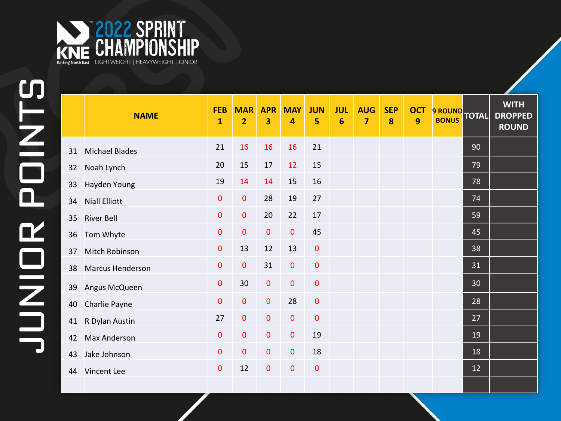

|    | <b>NAME</b>             | <b>FEB</b><br>$\mathbf{1}$ | <b>MAR</b><br>$\overline{2}$ | <b>APR</b><br>3 | <b>MAY</b><br>4 | <b>JUN</b><br>5 | <b>JUL</b><br>$6\phantom{1}6$ | <b>AUG</b><br>$\overline{7}$ | <b>SEP</b><br>$\boldsymbol{8}$ | <b>OCT</b><br>9 | 9 ROUND TOTAL |    | <b>WITH</b><br><b>DROPPED</b><br><b>ROUND</b> |
|----|-------------------------|----------------------------|------------------------------|-----------------|-----------------|-----------------|-------------------------------|------------------------------|--------------------------------|-----------------|---------------|----|-----------------------------------------------|
| 31 | <b>Michael Blades</b>   | 21                         | 16                           | 16              | 16              | 21              |                               |                              |                                |                 |               | 90 |                                               |
| 32 | Noah Lynch              | 20                         | 15                           | 17              | 12              | 15              |                               |                              |                                |                 |               | 79 |                                               |
| 33 | Hayden Young            | 19                         | 14                           | 14              | 15              | 16              |                               |                              |                                |                 |               | 78 |                                               |
| 34 | <b>Niall Elliott</b>    | $\pmb{0}$                  | $\pmb{0}$                    | 28              | 19              | 27              |                               |                              |                                |                 |               | 74 |                                               |
| 35 | <b>River Bell</b>       | $\pmb{0}$                  | $\pmb{0}$                    | 20              | 22              | 17              |                               |                              |                                |                 |               | 59 |                                               |
| 36 | Tom Whyte               | 0                          | $\mathbf 0$                  | $\mathbf 0$     | $\mathbf 0$     | 45              |                               |                              |                                |                 |               | 45 |                                               |
| 37 | Mitch Robinson          | 0                          | 13                           | 12              | 13              | $\pmb{0}$       |                               |                              |                                |                 |               | 38 |                                               |
| 38 | <b>Marcus Henderson</b> | $\mathbf 0$                | $\pmb{0}$                    | 31              | $\mathbf 0$     | $\pmb{0}$       |                               |                              |                                |                 |               | 31 |                                               |
| 39 | Angus McQueen           | $\pmb{0}$                  | 30                           | $\pmb{0}$       | $\mathbf 0$     | $\pmb{0}$       |                               |                              |                                |                 |               | 30 |                                               |
| 40 | Charlie Payne           | $\pmb{0}$                  | $\pmb{0}$                    | $\mathbf 0$     | 28              | $\pmb{0}$       |                               |                              |                                |                 |               | 28 |                                               |
| 41 | R Dylan Austin          | 27                         | $\pmb{0}$                    | $\mathbf{0}$    | $\mathbf{0}$    | $\pmb{0}$       |                               |                              |                                |                 |               | 27 |                                               |
| 42 | <b>Max Anderson</b>     | $\pmb{0}$                  | $\pmb{0}$                    | $\mathbf 0$     | $\mathbf 0$     | 19              |                               |                              |                                |                 |               | 19 |                                               |
| 43 | Jake Johnson            | $\mathbf 0$                | $\mathbf 0$                  | $\overline{0}$  | $\mathbf 0$     | 18              |                               |                              |                                |                 |               | 18 |                                               |
|    | 44 Vincent Lee          | 0                          | 12                           | $\mathbf 0$     | $\mathbf{0}$    | $\mathbf 0$     |                               |                              |                                |                 |               | 12 |                                               |